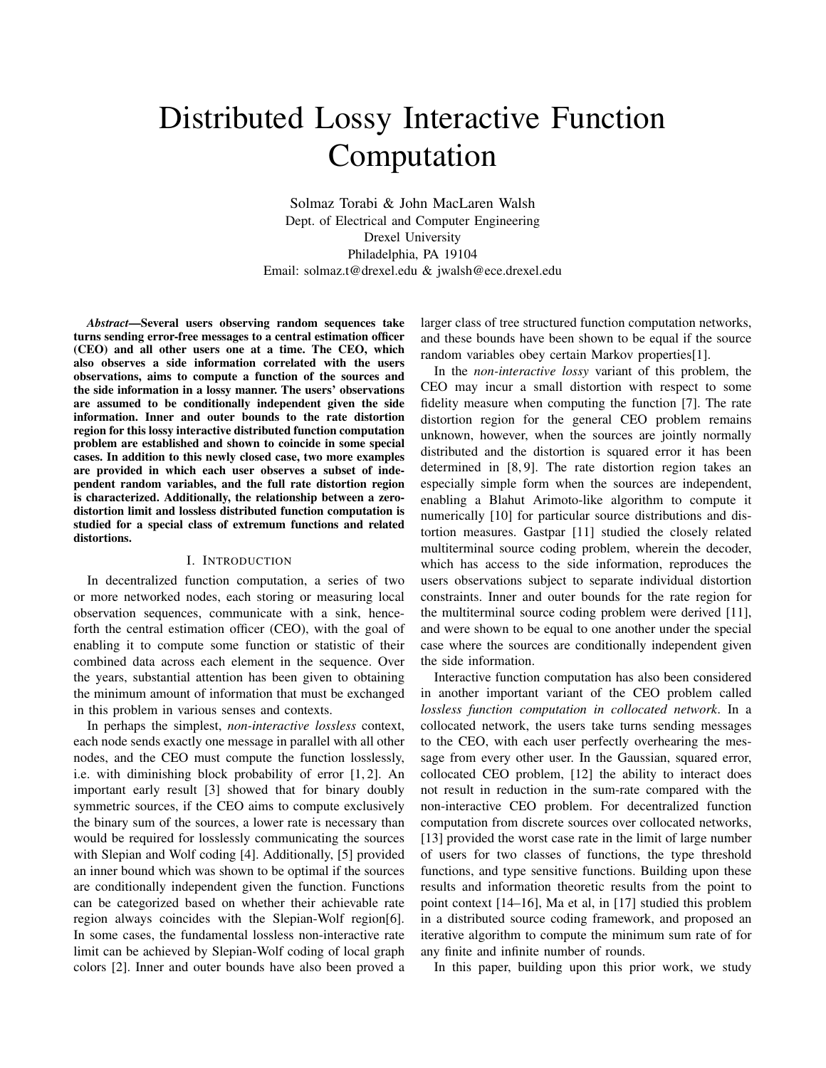# Distributed Lossy Interactive Function Computation

Solmaz Torabi & John MacLaren Walsh Dept. of Electrical and Computer Engineering Drexel University Philadelphia, PA 19104 Email: solmaz.t@drexel.edu & jwalsh@ece.drexel.edu

*Abstract*—Several users observing random sequences take turns sending error-free messages to a central estimation officer (CEO) and all other users one at a time. The CEO, which also observes a side information correlated with the users observations, aims to compute a function of the sources and the side information in a lossy manner. The users' observations are assumed to be conditionally independent given the side information. Inner and outer bounds to the rate distortion region for this lossy interactive distributed function computation problem are established and shown to coincide in some special cases. In addition to this newly closed case, two more examples are provided in which each user observes a subset of independent random variables, and the full rate distortion region is characterized. Additionally, the relationship between a zerodistortion limit and lossless distributed function computation is studied for a special class of extremum functions and related distortions.

#### I. INTRODUCTION

In decentralized function computation, a series of two or more networked nodes, each storing or measuring local observation sequences, communicate with a sink, henceforth the central estimation officer (CEO), with the goal of enabling it to compute some function or statistic of their combined data across each element in the sequence. Over the years, substantial attention has been given to obtaining the minimum amount of information that must be exchanged in this problem in various senses and contexts.

In perhaps the simplest, *non-interactive lossless* context, each node sends exactly one message in parallel with all other nodes, and the CEO must compute the function losslessly, i.e. with diminishing block probability of error [1, 2]. An important early result [3] showed that for binary doubly symmetric sources, if the CEO aims to compute exclusively the binary sum of the sources, a lower rate is necessary than would be required for losslessly communicating the sources with Slepian and Wolf coding [4]. Additionally, [5] provided an inner bound which was shown to be optimal if the sources are conditionally independent given the function. Functions can be categorized based on whether their achievable rate region always coincides with the Slepian-Wolf region[6]. In some cases, the fundamental lossless non-interactive rate limit can be achieved by Slepian-Wolf coding of local graph colors [2]. Inner and outer bounds have also been proved a larger class of tree structured function computation networks, and these bounds have been shown to be equal if the source random variables obey certain Markov properties[1].

In the *non-interactive lossy* variant of this problem, the CEO may incur a small distortion with respect to some fidelity measure when computing the function [7]. The rate distortion region for the general CEO problem remains unknown, however, when the sources are jointly normally distributed and the distortion is squared error it has been determined in [8, 9]. The rate distortion region takes an especially simple form when the sources are independent, enabling a Blahut Arimoto-like algorithm to compute it numerically [10] for particular source distributions and distortion measures. Gastpar [11] studied the closely related multiterminal source coding problem, wherein the decoder, which has access to the side information, reproduces the users observations subject to separate individual distortion constraints. Inner and outer bounds for the rate region for the multiterminal source coding problem were derived [11], and were shown to be equal to one another under the special case where the sources are conditionally independent given the side information.

Interactive function computation has also been considered in another important variant of the CEO problem called *lossless function computation in collocated network*. In a collocated network, the users take turns sending messages to the CEO, with each user perfectly overhearing the message from every other user. In the Gaussian, squared error, collocated CEO problem, [12] the ability to interact does not result in reduction in the sum-rate compared with the non-interactive CEO problem. For decentralized function computation from discrete sources over collocated networks, [13] provided the worst case rate in the limit of large number of users for two classes of functions, the type threshold functions, and type sensitive functions. Building upon these results and information theoretic results from the point to point context [14–16], Ma et al, in [17] studied this problem in a distributed source coding framework, and proposed an iterative algorithm to compute the minimum sum rate of for any finite and infinite number of rounds.

In this paper, building upon this prior work, we study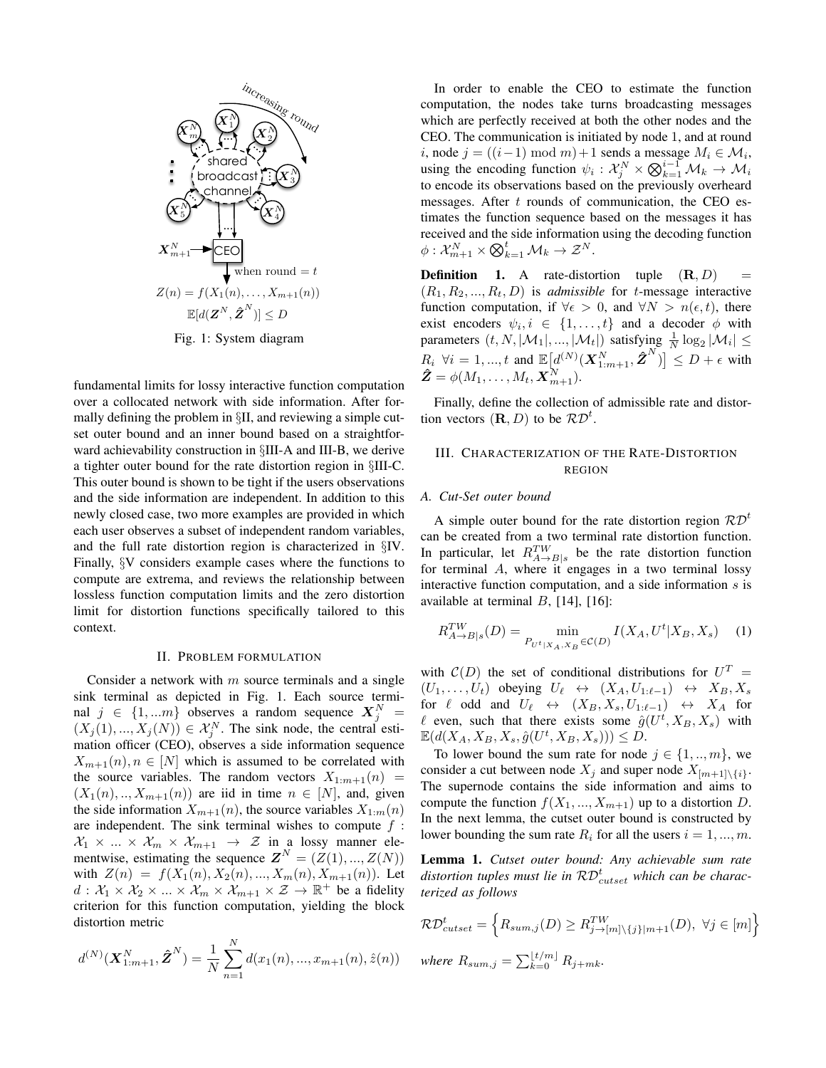

fundamental limits for lossy interactive function computation over a collocated network with side information. After formally defining the problem in §II, and reviewing a simple cutset outer bound and an inner bound based on a straightforward achievability construction in §III-A and III-B, we derive a tighter outer bound for the rate distortion region in §III-C. This outer bound is shown to be tight if the users observations and the side information are independent. In addition to this newly closed case, two more examples are provided in which each user observes a subset of independent random variables, and the full rate distortion region is characterized in §IV. Finally, §V considers example cases where the functions to compute are extrema, and reviews the relationship between lossless function computation limits and the zero distortion limit for distortion functions specifically tailored to this context.

#### II. PROBLEM FORMULATION

Consider a network with  $m$  source terminals and a single sink terminal as depicted in Fig. 1. Each source terminal  $j \in \{1, ...m\}$  observes a random sequence  $X_j^N =$  $(X_j(1),..., X_j(N)) \in \mathcal{X}_j^N$ . The sink node, the central estimation officer (CEO), observes a side information sequence  $X_{m+1}(n), n \in [N]$  which is assumed to be correlated with the source variables. The random vectors  $X_{1:m+1}(n)$  =  $(X_1(n),..., X_{m+1}(n))$  are iid in time  $n \in [N]$ , and, given the side information  $X_{m+1}(n)$ , the source variables  $X_{1:m}(n)$ are independent. The sink terminal wishes to compute  $f$ :  $\mathcal{X}_1 \times ... \times \mathcal{X}_m \times \mathcal{X}_{m+1} \rightarrow \mathcal{Z}$  in a lossy manner elementwise, estimating the sequence  $\mathbf{Z}^N = (Z(1),..., Z(N))$ with  $Z(n) = f(X_1(n), X_2(n), ..., X_m(n), X_{m+1}(n))$ . Let  $d: \mathcal{X}_1 \times \mathcal{X}_2 \times ... \times \mathcal{X}_m \times \mathcal{X}_{m+1} \times \mathcal{Z} \to \mathbb{R}^+$  be a fidelity criterion for this function computation, yielding the block distortion metric

$$
d^{(N)}(\mathbf{X}_{1:m+1}^N, \hat{\mathbf{Z}}^N) = \frac{1}{N} \sum_{n=1}^N d(x_1(n), ..., x_{m+1}(n), \hat{z}(n))
$$

In order to enable the CEO to estimate the function computation, the nodes take turns broadcasting messages which are perfectly received at both the other nodes and the CEO. The communication is initiated by node 1, and at round *i*, node *j* = ((*i* − 1) mod *m*) + 1 sends a message  $M_i \in \mathcal{M}_i$ , using the encoding function  $\psi_i : \mathcal{X}_j^N \times \bigotimes_{k=1}^{i-1} \mathcal{M}_k \to \mathcal{M}_i$ to encode its observations based on the previously overheard messages. After  $t$  rounds of communication, the CEO estimates the function sequence based on the messages it has received and the side information using the decoding function  $\phi: \mathcal{X}_{m+1}^N \times \bigotimes_{k=1}^t \mathcal{M}_k \to \mathcal{Z}^N.$ 

**Definition** 1. A rate-distortion tuple  $(\mathbf{R}, D)$  $(R_1, R_2, ..., R_t, D)$  is *admissible* for *t*-message interactive function computation, if  $\forall \epsilon > 0$ , and  $\forall N > n(\epsilon, t)$ , there exist encoders  $\psi_i, i \in \{1, ..., t\}$  and a decoder  $\phi$  with parameters  $(t, N, |\mathcal{M}_1|, ..., |\mathcal{M}_t|)$  satisfying  $\frac{1}{N} \log_2 |\mathcal{M}_i| \le$  $R_i \ \forall i = 1, ..., t$  and  $\mathbb{E}\left[\frac{d^{(N)}(X_{1:m+1}^N, \hat{Z}^N)}{X_{1:m+1}^N, \hat{Z}^N}\right] \leq D + \epsilon$  with  $\boldsymbol{\hat{Z}} = \phi(M_1, \dots, M_t, \boldsymbol{X}_{m+1}^N).$ 

Finally, define the collection of admissible rate and distortion vectors  $(\mathbf{R}, D)$  to be  $\mathcal{RD}^t$ .

# III. CHARACTERIZATION OF THE RATE-DISTORTION REGION

#### *A. Cut-Set outer bound*

A simple outer bound for the rate distortion region  $\mathcal{RD}^t$ can be created from a two terminal rate distortion function. In particular, let  $R_{A\to B|s}^{TW}$  be the rate distortion function for terminal A, where it engages in a two terminal lossy interactive function computation, and a side information  $s$  is available at terminal  $B$ , [14], [16]:

$$
R_{A \to B|s}^{TW}(D) = \min_{P_{U^t|X_A, X_B} \in \mathcal{C}(D)} I(X_A, U^t | X_B, X_s) \quad (1)
$$

with  $\mathcal{C}(D)$  the set of conditional distributions for  $U^T =$  $(U_1, \ldots, U_t)$  obeying  $U_\ell \leftrightarrow (X_A, U_{1:\ell-1}) \leftrightarrow X_B, X_s$ for  $\ell$  odd and  $U_{\ell} \leftrightarrow (X_{B}, X_{s}, U_{1:\ell-1}) \leftrightarrow X_{A}$  for  $\ell$  even, such that there exists some  $\hat{g}(U^t, X_B, X_s)$  with  $\mathbb{E}(d(X_A, X_B, X_s, \hat{g}(U^t, X_B, X_s))) \leq D.$ 

To lower bound the sum rate for node  $j \in \{1, ..., m\}$ , we consider a cut between node  $X_j$  and super node  $X_{[m+1]\setminus\{i\}}$ . The supernode contains the side information and aims to compute the function  $f(X_1, ..., X_{m+1})$  up to a distortion D. In the next lemma, the cutset outer bound is constructed by lower bounding the sum rate  $R_i$  for all the users  $i = 1, ..., m$ .

Lemma 1. *Cutset outer bound: Any achievable sum rate* distortion tuples must lie in  $\mathcal{RD}_{\text{cutset}}^t$  which can be charac*terized as follows*

$$
\mathcal{RD}_{cutset}^{t} = \left\{ R_{sum,j}(D) \geq R_{j\rightarrow[m]\backslash\{j\}|m+1}^{TW}(D), \ \forall j \in [m] \right\}
$$
  
where  $R_{sum,j} = \sum_{k=0}^{\lfloor t/m \rfloor} R_{j+mk}$ .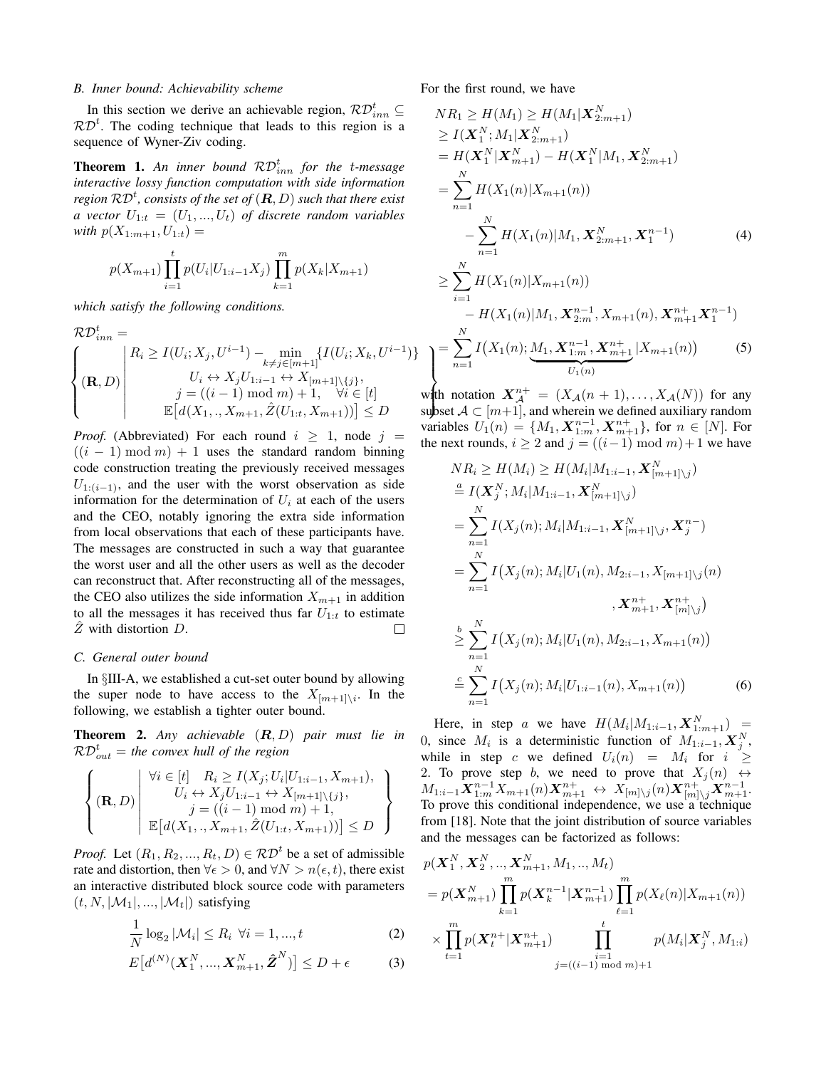## *B. Inner bound: Achievability scheme*

In this section we derive an achievable region,  $\mathcal{RD}_{inn}^t \subseteq$  $RD<sup>t</sup>$ . The coding technique that leads to this region is a sequence of Wyner-Ziv coding.

**Theorem 1.** An inner bound  $\mathcal{RD}_{inn}^t$  for the *t*-message *interactive lossy function computation with side information* region  $\mathcal{RD}^t$ , consists of the set of  $(\bm{R},D)$  such that there exist *a vector*  $U_{1:t} = (U_1, ..., U_t)$  *of discrete random variables with*  $p(X_{1:m+1}, U_{1:t}) =$ 

$$
p(X_{m+1}) \prod_{i=1}^{t} p(U_i | U_{1:i-1} X_j) \prod_{k=1}^{m} p(X_k | X_{m+1})
$$

*which satisfy the following conditions.*

$$
\mathcal{RD}_{inn}^{t} = \left\{ (\mathbf{R}, D) \middle| \begin{aligned} R_{i} &\ge I(U_{i}; X_{j}, U^{i-1}) - \min_{k \ne j \in [m+1]} \{I(U_{i}; X_{k}, U^{i-1}) \\ U_{i} &\leftrightarrow X_{j}U_{1:i-1} \leftrightarrow X_{[m+1] \setminus \{j\}}, \\ j &= ((i-1) \mod m) + 1, \quad \forall i \in [t] \\ \mathbb{E}\left[d(X_{1}, .., X_{m+1}, \hat{Z}(U_{1:t}, X_{m+1}))\right] \le D \end{aligned}\right.
$$

*Proof.* (Abbreviated) For each round  $i \geq 1$ , node  $j =$  $((i - 1) \bmod m) + 1$  uses the standard random binning code construction treating the previously received messages  $U_{1:(i-1)}$ , and the user with the worst observation as side information for the determination of  $U_i$  at each of the users and the CEO, notably ignoring the extra side information from local observations that each of these participants have. The messages are constructed in such a way that guarantee the worst user and all the other users as well as the decoder can reconstruct that. After reconstructing all of the messages, the CEO also utilizes the side information  $X_{m+1}$  in addition to all the messages it has received thus far  $U_{1:t}$  to estimate  $\hat{Z}$  with distortion  $D$ .  $\Box$ 

#### *C. General outer bound*

In §III-A, we established a cut-set outer bound by allowing the super node to have access to the  $X_{[m+1]\setminus i}$ . In the following, we establish a tighter outer bound.

Theorem 2. *Any achievable* (R, D) *pair must lie in*  $\mathcal{RD}_{out}^t$  = the convex hull of the region

$$
\left\{ (\mathbf{R}, D) \middle| \begin{array}{c} \forall i \in [t] \quad R_i \ge I(X_j; U_i | U_{1:i-1}, X_{m+1}), \\ U_i \leftrightarrow X_j U_{1:i-1} \leftrightarrow X_{[m+1] \setminus \{j\}}, \\ j = ((i-1) \bmod m) + 1, \\ \mathbb{E} \big[ d(X_1,., X_{m+1}, \hat{Z}(U_{1:t}, X_{m+1})) \big] \le D \end{array} \right\}
$$

*Proof.* Let  $(R_1, R_2, ..., R_t, D) \in \mathcal{RD}^t$  be a set of admissible rate and distortion, then  $\forall \epsilon > 0$ , and  $\forall N > n(\epsilon, t)$ , there exist an interactive distributed block source code with parameters  $(t, N, |\mathcal{M}_1|, ..., |\mathcal{M}_t|)$  satisfying

$$
\frac{1}{N}\log_2|\mathcal{M}_i| \le R_i \quad \forall i = 1, ..., t
$$
\n(2)

$$
E\big[d^{(N)}(\boldsymbol{X}_1^N,...,\boldsymbol{X}_{m+1}^N,\hat{\boldsymbol{Z}}^N)\big] \le D + \epsilon
$$
 (3)

For the first round, we have

)}

$$
NR_{1} \geq H(M_{1}) \geq H(M_{1}|\mathbf{X}_{2:m+1}^{N})
$$
  
\n
$$
\geq I(\mathbf{X}_{1}^{N}; M_{1}|\mathbf{X}_{2:m+1}^{N})
$$
  
\n
$$
= H(\mathbf{X}_{1}^{N}|\mathbf{X}_{m+1}^{N}) - H(\mathbf{X}_{1}^{N}|M_{1}, \mathbf{X}_{2:m+1}^{N})
$$
  
\n
$$
= \sum_{n=1}^{N} H(X_{1}(n)|X_{m+1}(n))
$$
  
\n
$$
- \sum_{n=1}^{N} H(X_{1}(n)|M_{1}, \mathbf{X}_{2:m+1}^{N}, \mathbf{X}_{1}^{n-1})
$$
  
\n
$$
\geq \sum_{i=1}^{N} H(X_{1}(n)|X_{m+1}(n))
$$
  
\n
$$
- H(X_{1}(n)|M_{1}, \mathbf{X}_{2:m}^{n-1}, X_{m+1}(n), \mathbf{X}_{m+1}^{n+1}, \mathbf{X}_{1}^{n-1})
$$
  
\n
$$
= \sum_{n=1}^{N} I(X_{1}(n); \underbrace{M_{1}, \mathbf{X}_{1:m}^{n-1}, \mathbf{X}_{m+1}^{n+1}} |X_{m+1}(n))
$$
(5)

with notation  $\mathbf{A}_{\mathcal{A}} = (A_{\mathcal{A}}(n+1),..., A_{\mathcal{A}}(N))$  for any<br>subset  $\mathcal{A} \subset [m+1]$ , and wherein we defined auxiliary random with notation  $X^{n+} = (X_{\mathcal{A}}(n+1), \ldots, X_{\mathcal{A}}(N))$  for any variables  $U_1(n) = \{M_1, \mathbf{X}_{1:m}^{n-1}, \mathbf{X}_{m+1}^{n+1}\}$ , for  $n \in [N]$ . For the next rounds,  $i \geq 2$  and  $j = ((i-1) \bmod m) + 1$  we have

$$
NR_i \ge H(M_i) \ge H(M_i|M_{1:i-1}, \mathbf{X}_{[m+1]\setminus j}^N)
$$
  
\n
$$
\stackrel{a}{=} I(\mathbf{X}_j^N; M_i|M_{1:i-1}, \mathbf{X}_{[m+1]\setminus j}^N)
$$
  
\n
$$
= \sum_{n=1}^N I(X_j(n); M_i|M_{1:i-1}, \mathbf{X}_{[m+1]\setminus j}^N, \mathbf{X}_j^{n-})
$$
  
\n
$$
= \sum_{n=1}^N I(X_j(n); M_i|U_1(n), M_{2:i-1}, X_{[m+1]\setminus j}(n)
$$
  
\n
$$
\stackrel{b}{\ge} \sum_{n=1}^N I(X_j(n); M_i|U_1(n), M_{2:i-1}, X_{m+1}(n))
$$
  
\n
$$
\stackrel{c}{=} \sum_{n=1}^N I(X_j(n); M_i|U_{1:i-1}(n), X_{m+1}(n))
$$
 (6)

Here, in step a we have  $H(M_i|M_{1:i-1}, \boldsymbol{X}_{1:m+1}^N) =$ 0, since  $M_i$  is a deterministic function of  $M_{1:i-1}$ ,  $\mathbf{X}_j^N$ , while in step c we defined  $U_i(n) = M_i$  for  $i \geq$ 2. To prove step b, we need to prove that  $X_i(n) \leftrightarrow$  $M_{1:i-1} \bm{X}_{1:m}^{n-1} X_{m+1}(n) \bm{X}_{m+1}^{n+} \ \leftrightarrow \ X_{[m] \setminus j}(n) \bm{X}_{[m] \setminus j}^{n+} \bm{X}_{m+1}^{n-1}.$ To prove this conditional independence, we use a technique from [18]. Note that the joint distribution of source variables and the messages can be factorized as follows:

$$
p(\mathbf{X}_{1}^{N}, \mathbf{X}_{2}^{N}, ..., \mathbf{X}_{m+1}^{N}, M_{1}, ..., M_{t})
$$
\n
$$
= p(\mathbf{X}_{m+1}^{N}) \prod_{k=1}^{m} p(\mathbf{X}_{k}^{n-1} | \mathbf{X}_{m+1}^{n-1}) \prod_{\ell=1}^{m} p(X_{\ell}(n) | X_{m+1}(n))
$$
\n
$$
\times \prod_{t=1}^{m} p(\mathbf{X}_{t}^{n+} | \mathbf{X}_{m+1}^{n+}) \prod_{j=(i-1) \text{ mod } m)+1}^{t} p(M_{i} | \mathbf{X}_{j}^{N}, M_{1:i})
$$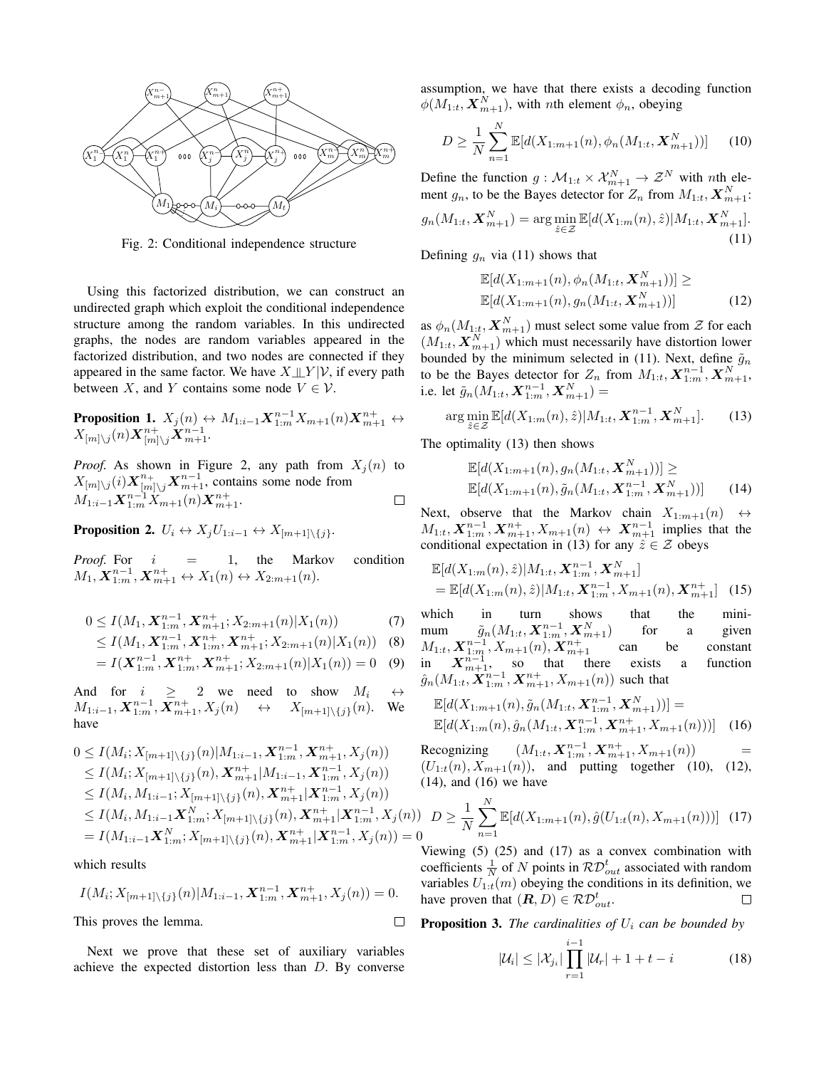

Fig. 2: Conditional independence structure

Using this factorized distribution, we can construct an undirected graph which exploit the conditional independence structure among the random variables. In this undirected graphs, the nodes are random variables appeared in the factorized distribution, and two nodes are connected if they appeared in the same factor. We have  $X \perp\!\!\!\perp Y | V$ , if every path between X, and Y contains some node  $V \in \mathcal{V}$ .

**Proposition 1.** 
$$
X_j(n) \leftrightarrow M_{1:i-1} \mathbf{X}_{1:m}^{n-1} X_{m+1}(n) \mathbf{X}_{m+1}^{n+} \leftrightarrow X_{[m] \setminus j}(n) \mathbf{X}_{[m] \setminus j}^{n+} \mathbf{X}_{m+1}^{n-1}.
$$

*Proof.* As shown in Figure 2, any path from  $X_i(n)$  to  $X_{[m]\setminus j}(i)$   $\mathbf{X}_{[m]\setminus j}^{n+1}$   $\mathbf{X}_{m+1}^{n-1}$ , contains some node from  $M_{1:i-1} \boldsymbol{X}_{1:m}^{n-1} \ddot{X}_{m+1}^{*}(n) \boldsymbol{X}_{m+1}^{n+}.$  $\Box$ 

Proposition 2.  $U_i \leftrightarrow X_j U_{1:i-1} \leftrightarrow X_{[m+1]\setminus \{j\}}.$ 

*Proof.* For  $i = 1$ , the Markov condition  $M_1, \mathbf{X}_{1:m}^{n-1}, \mathbf{X}_{m+1}^{n+} \leftrightarrow X_1(n) \leftrightarrow X_{2:m+1}(n).$ 

$$
0 \le I(M_1, \mathbf{X}_{1:m}^{n-1}, \mathbf{X}_{m+1}^{n+}; X_{2:m+1}(n) | X_1(n)) \tag{7}
$$

$$
\leq I(M_1, \mathbf{X}_{1:m}^{n-1}, \mathbf{X}_{1:m}^{n+}, \mathbf{X}_{m+1}^{n+}; X_{2:m+1}(n)|X_1(n)) \quad (8)
$$

$$
= I(\mathbf{X}_{1:m}^{n-1}, \mathbf{X}_{1:m}^{n+}, \mathbf{X}_{m+1}^{n+}; X_{2:m+1}(n) | X_1(n)) = 0 \quad (9)
$$

And for  $i \geq 2$  we need to show  $M_i \leftrightarrow$  $M_{1:i-1}, \mathbf{X}_{1:m}^{n-1}, \mathbf{X}_{m+1}^{n+}, X_j(n) \quad \leftrightarrow \quad X_{[m+1]\setminus\{j\}}(n)$ . We have

$$
0 \leq I(M_i; X_{[m+1]\setminus\{j\}}(n)|M_{1:i-1}, \mathbf{X}_{1:m}^{n-1}, \mathbf{X}_{m+1}^{n+}, X_j(n))
$$
  
\n
$$
\leq I(M_i; X_{[m+1]\setminus\{j\}}(n), \mathbf{X}_{m+1}^{n+}|M_{1:i-1}, \mathbf{X}_{1:m}^{n-1}, X_j(n))
$$
  
\n
$$
\leq I(M_i, M_{1:i-1}; X_{[m+1]\setminus\{j\}}(n), \mathbf{X}_{m+1}^{n+}| \mathbf{X}_{1:m}^{n-1}, X_j(n))
$$
  
\n
$$
\leq I(M_i, M_{1:i-1} \mathbf{X}_{1:m}^N; X_{[m+1]\setminus\{j\}}(n), \mathbf{X}_{m+1}^{n+}| \mathbf{X}_{1:m}^{n-1}, X_j(n))
$$
  
\n
$$
= I(M_{1:i-1} \mathbf{X}_{1:m}^N; X_{[m+1]\setminus\{j\}}(n), \mathbf{X}_{m+1}^{n+}| \mathbf{X}_{1:m}^{n-1}, X_j(n)) = 0
$$

which results

$$
I(M_i; X_{[m+1]\setminus\{j\}}(n)|M_{1:i-1}, \mathbf{X}_{1:m}^{n-1}, \mathbf{X}_{m+1}^{n+}, X_j(n)) = 0.
$$

 $\Box$ 

This proves the lemma.

Next we prove that these set of auxiliary variables achieve the expected distortion less than D. By converse assumption, we have that there exists a decoding function  $\phi(M_{1:t}, \mathbf{X}_{m+1}^N)$ , with *n*th element  $\phi_n$ , obeying

$$
D \ge \frac{1}{N} \sum_{n=1}^{N} \mathbb{E}[d(X_{1:m+1}(n), \phi_n(M_{1:t}, \mathbf{X}_{m+1}^N))]
$$
(10)

Define the function  $g: \mathcal{M}_{1:t} \times \mathcal{X}_{m+1}^N \to \mathcal{Z}^N$  with nth element  $g_n$ , to be the Bayes detector for  $Z_n$  from  $M_{1:t}$ ,  $\boldsymbol{X}_{m+1}^N$ :

$$
g_n(M_{1:t}, \mathbf{X}_{m+1}^N) = \arg\min_{\hat{z}\in\mathcal{Z}} \mathbb{E}[d(X_{1:m}(n), \hat{z})|M_{1:t}, \mathbf{X}_{m+1}^N].
$$
\n(11)

Defining  $g_n$  via (11) shows that

$$
\mathbb{E}[d(X_{1:m+1}(n), \phi_n(M_{1:t}, \mathbf{X}_{m+1}^N))] \geq \mathbb{E}[d(X_{1:m+1}(n), g_n(M_{1:t}, \mathbf{X}_{m+1}^N))]
$$
(12)

as  $\phi_n(M_{1:t}, \mathbf{X}_{m+1}^N)$  must select some value from  $\mathcal Z$  for each  $(M_{1:t}, \boldsymbol{X}_{m+1}^N)$  which must necessarily have distortion lower bounded by the minimum selected in (11). Next, define  $\tilde{g}_n$ to be the Bayes detector for  $Z_n$  from  $M_{1:t}$ ,  $\mathbf{X}_{1:m}^{n-1}$ ,  $\mathbf{X}_{m+1}^N$ , i.e. let  $\tilde{g}_n(M_{1:t}, \boldsymbol{X}_{1:m}^{n-1}, \boldsymbol{X}_{m+1}^N) =$ 

$$
\arg\min_{\hat{z}\in\mathcal{Z}} \mathbb{E}[d(X_{1:m}(n),\hat{z})|M_{1:t}, \mathbf{X}_{1:m}^{n-1}, \mathbf{X}_{m+1}^N].
$$
 (13)

The optimality (13) then shows

$$
\mathbb{E}[d(X_{1:m+1}(n), g_n(M_{1:t}, \mathbf{X}_{m+1}^N))] \geq
$$
  
\n
$$
\mathbb{E}[d(X_{1:m+1}(n), \tilde{g}_n(M_{1:t}, \mathbf{X}_{1:m}^{n-1}, \mathbf{X}_{m+1}^N))] \qquad (14)
$$

Next, observe that the Markov chain  $X_{1:m+1}(n) \leftrightarrow$  $M_{1:t}, \mathbf{X}_{1:m}^{n-1}, \mathbf{X}_{m+1}^{n+}, X_{m+1}(n) \leftrightarrow \mathbf{X}_{m+1}^{n-1}$  implies that the conditional expectation in (13) for any  $\hat{z} \in \mathcal{Z}$  obeys

$$
\mathbb{E}[d(X_{1:m}(n),\hat{z})|M_{1:t}, \mathbf{X}_{1:m}^{n-1}, \mathbf{X}_{m+1}^N] \n= \mathbb{E}[d(X_{1:m}(n),\hat{z})|M_{1:t}, \mathbf{X}_{1:m}^{n-1}, X_{m+1}(n), \mathbf{X}_{m+1}^{n+1}]
$$
\n(15)

which in turn shows that the minimum  $\tilde{g}_n(M_{1:t}, \mathbf{X}_{1:m}^{n-1}, \mathbf{X}_{m+1}^N)$  for a given  $M_{1:t}, \mathbf{X}_{1:m}^{n-1}, X_{m+1}(n), \mathbf{X}_{m+1}^{n+1}$  can be constant in  $X_{m+1}^{n-1}$ , so that there exists a function  $\hat{g}_n(M_{1:t}, \boldsymbol{X}_{1:m}^{n-1}, \boldsymbol{X}_{m+1}^{n+1}, X_{m+1}(n))$  such that

$$
\mathbb{E}[d(X_{1:m+1}(n), \tilde{g}_n(M_{1:t}, \mathbf{X}_{1:m}^{n-1}, \mathbf{X}_{m+1}^N))] = \mathbb{E}[d(X_{1:m}(n), \hat{g}_n(M_{1:t}, \mathbf{X}_{1:m}^{n-1}, \mathbf{X}_{m+1}^{n+}, X_{m+1}(n)))] \quad (16)
$$

Recognizing  $(M_{1:t}, \mathbf{X}_{1:m}^{n-1}, \mathbf{X}_{m+1}^{n+}, X_{m+1}(n))$  =  $(U_{1:t}(n), X_{m+1}(n))$ , and putting together (10), (12), (14), and (16) we have

$$
D \ge \frac{1}{N} \sum_{n=1}^{N} \mathbb{E}[d(X_{1:m+1}(n), \hat{g}(U_{1:t}(n), X_{m+1}(n)))] \quad (17)
$$

Viewing (5) (25) and (17) as a convex combination with coefficients  $\frac{1}{N}$  of N points in  $\mathcal{RD}_{out}^t$  associated with random variables  $U_{1:t}(m)$  obeying the conditions in its definition, we have proven that  $(\mathbf{R}, D) \in \mathcal{RD}_{out}^t$ .  $\Box$ 

**Proposition 3.** *The cardinalities of*  $U_i$  *can be bounded by* 

$$
|\mathcal{U}_i| \le |\mathcal{X}_{j_i}| \prod_{r=1}^{i-1} |\mathcal{U}_r| + 1 + t - i \tag{18}
$$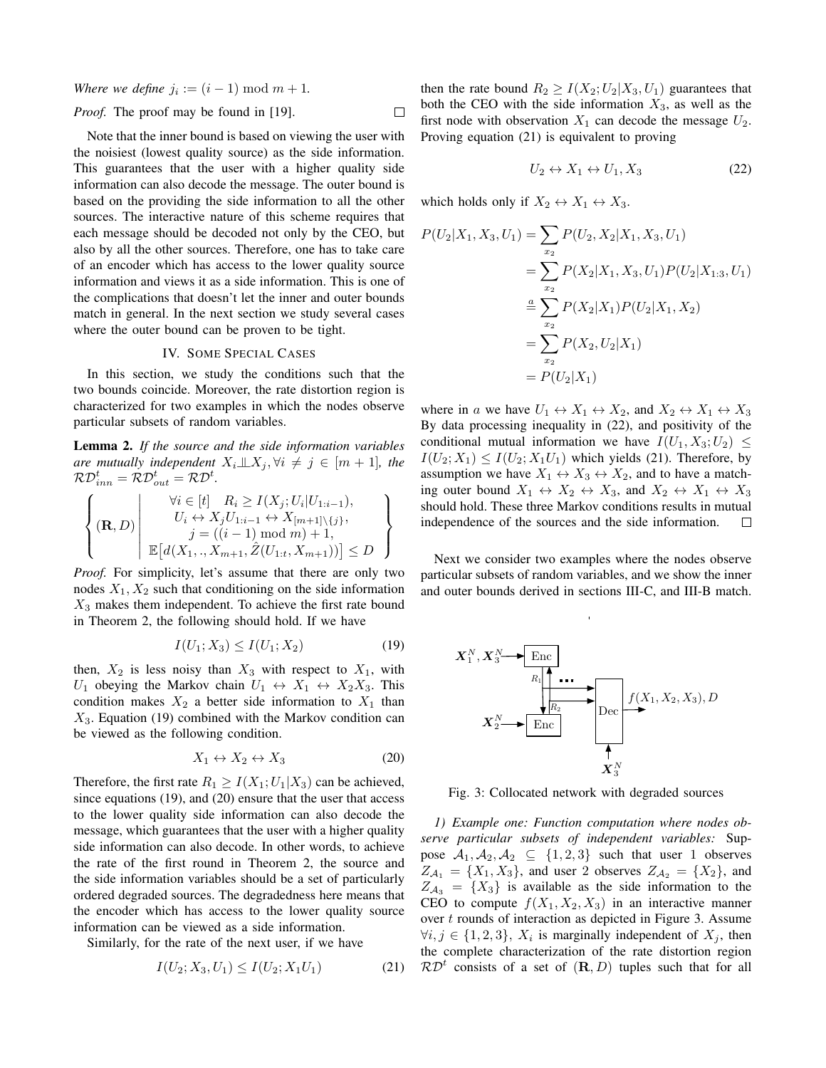*Where we define*  $j_i := (i - 1) \bmod m + 1$ .

*Proof.* The proof may be found in [19]. 
$$
\Box
$$

Note that the inner bound is based on viewing the user with the noisiest (lowest quality source) as the side information. This guarantees that the user with a higher quality side information can also decode the message. The outer bound is based on the providing the side information to all the other sources. The interactive nature of this scheme requires that each message should be decoded not only by the CEO, but also by all the other sources. Therefore, one has to take care of an encoder which has access to the lower quality source information and views it as a side information. This is one of the complications that doesn't let the inner and outer bounds match in general. In the next section we study several cases where the outer bound can be proven to be tight.

## IV. SOME SPECIAL CASES

In this section, we study the conditions such that the two bounds coincide. Moreover, the rate distortion region is characterized for two examples in which the nodes observe particular subsets of random variables.

Lemma 2. *If the source and the side information variables are mutually independent*  $X_i \perp \!\!\! \perp X_j, \forall i \neq j \in [m+1]$ *, the*  $\mathcal{RD}_{inn}^t = \mathcal{RD}_{out}^t = \mathcal{RD}^t.$ 

$$
\left\{ (\mathbf{R}, D) \middle| \begin{array}{c} \forall i \in [t] \quad R_i \ge I(X_j; U_i | U_{1:i-1}), \\ U_i \leftrightarrow X_j U_{1:i-1} \leftrightarrow X_{[m+1] \setminus \{j\}}, \\ j = ((i-1) \mod m) + 1, \\ \mathbb{E}\big[d(X_1, \dots, X_{m+1}, \hat{Z}(U_{1:t}, X_{m+1}))\big] \le D \end{array} \right\}
$$

*Proof.* For simplicity, let's assume that there are only two nodes  $X_1, X_2$  such that conditioning on the side information  $X_3$  makes them independent. To achieve the first rate bound in Theorem 2, the following should hold. If we have

$$
I(U_1; X_3) \le I(U_1; X_2) \tag{19}
$$

then,  $X_2$  is less noisy than  $X_3$  with respect to  $X_1$ , with  $U_1$  obeying the Markov chain  $U_1 \leftrightarrow X_1 \leftrightarrow X_2 X_3$ . This condition makes  $X_2$  a better side information to  $X_1$  than  $X_3$ . Equation (19) combined with the Markov condition can be viewed as the following condition.

$$
X_1 \leftrightarrow X_2 \leftrightarrow X_3 \tag{20}
$$

Therefore, the first rate  $R_1 \geq I(X_1; U_1 | X_3)$  can be achieved, since equations (19), and (20) ensure that the user that access to the lower quality side information can also decode the message, which guarantees that the user with a higher quality side information can also decode. In other words, to achieve the rate of the first round in Theorem 2, the source and the side information variables should be a set of particularly ordered degraded sources. The degradedness here means that the encoder which has access to the lower quality source information can be viewed as a side information.

Similarly, for the rate of the next user, if we have

$$
I(U_2; X_3, U_1) \le I(U_2; X_1U_1) \tag{21}
$$

then the rate bound  $R_2 \ge I(X_2; U_2 | X_3, U_1)$  guarantees that both the CEO with the side information  $X_3$ , as well as the first node with observation  $X_1$  can decode the message  $U_2$ . Proving equation (21) is equivalent to proving

$$
U_2 \leftrightarrow X_1 \leftrightarrow U_1, X_3 \tag{22}
$$

which holds only if  $X_2 \leftrightarrow X_1 \leftrightarrow X_3$ .

$$
P(U_2|X_1, X_3, U_1) = \sum_{x_2} P(U_2, X_2|X_1, X_3, U_1)
$$
  
= 
$$
\sum_{x_2} P(X_2|X_1, X_3, U_1) P(U_2|X_{1:3}, U_1)
$$
  
= 
$$
\sum_{x_2} P(X_2|X_1) P(U_2|X_1, X_2)
$$
  
= 
$$
\sum_{x_2} P(X_2, U_2|X_1)
$$
  
= 
$$
P(U_2|X_1)
$$

where in a we have  $U_1 \leftrightarrow X_1 \leftrightarrow X_2$ , and  $X_2 \leftrightarrow X_1 \leftrightarrow X_3$ By data processing inequality in (22), and positivity of the conditional mutual information we have  $I(U_1, X_3; U_2) \leq$  $I(U_2; X_1) \leq I(U_2; X_1U_1)$  which yields (21). Therefore, by assumption we have  $X_1 \leftrightarrow X_3 \leftrightarrow X_2$ , and to have a matching outer bound  $X_1 \leftrightarrow X_2 \leftrightarrow X_3$ , and  $X_2 \leftrightarrow X_1 \leftrightarrow X_3$ should hold. These three Markov conditions results in mutual independence of the sources and the side information.  $\Box$ 

Next we consider two examples where the nodes observe particular subsets of random variables, and we show the inner and outer bounds derived in sections III-C, and III-B match.



Fig. 3: Collocated network with degraded sources

*1) Example one: Function computation where nodes observe particular subsets of independent variables:* Suppose  $A_1, A_2, A_2 \subseteq \{1, 2, 3\}$  such that user 1 observes  $Z_{\mathcal{A}_1} = \{X_1, X_3\}$ , and user 2 observes  $Z_{\mathcal{A}_2} = \{X_2\}$ , and  $Z_{\mathcal{A}_3} = \{X_3\}$  is available as the side information to the CEO to compute  $f(X_1, X_2, X_3)$  in an interactive manner over  $t$  rounds of interaction as depicted in Figure 3. Assume  $\forall i, j \in \{1, 2, 3\}, X_i$  is marginally independent of  $X_j$ , then the complete characterization of the rate distortion region  $\mathcal{RD}^t$  consists of a set of  $(\mathbf{R}, D)$  tuples such that for all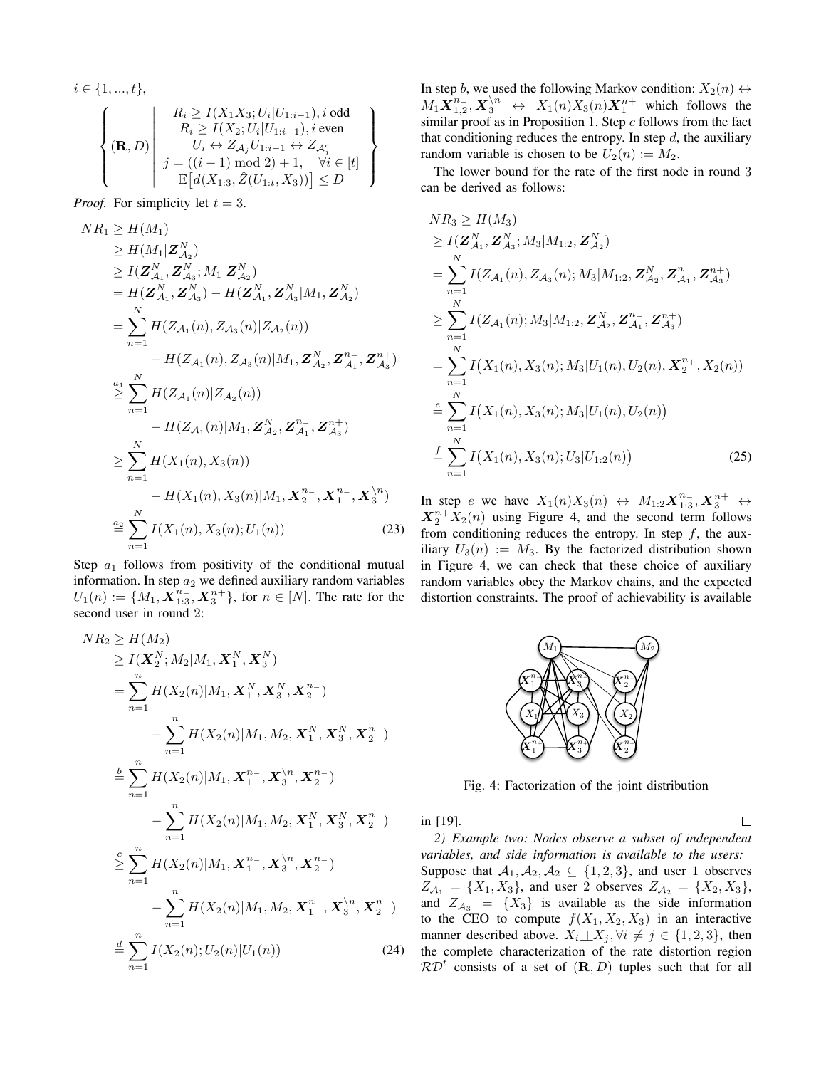$$
i \in \{1, ..., t\},
$$
\n
$$
\left\{ (\mathbf{R}, D) \middle| \begin{array}{c} R_i \ge I(X_1 X_3; U_i | U_{1:i-1}), i \text{ odd} \\ R_i \ge I(X_2; U_i | U_{1:i-1}), i \text{ even} \\ U_i \leftrightarrow Z_{\mathcal{A}_j} U_{1:i-1} \leftrightarrow Z_{\mathcal{A}_j}^c \\ j = ((i-1) \mod 2) + 1, \quad \forall i \in [t] \\ \mathbb{E}\big[d(X_{1:3}, \hat{Z}(U_{1:t}, X_3))\big] \le D \end{array} \right\}
$$

*Proof.* For simplicity let  $t = 3$ .

$$
NR_{1} \geq H(M_{1})
$$
  
\n
$$
\geq H(M_{1}|\mathbf{Z}_{A_{2}}^{N})
$$
  
\n
$$
\geq I(\mathbf{Z}_{A_{1}}^{N}, \mathbf{Z}_{A_{3}}^{N}; M_{1}|\mathbf{Z}_{A_{2}}^{N})
$$
  
\n
$$
= H(\mathbf{Z}_{A_{1}}^{N}, \mathbf{Z}_{A_{3}}^{N}) - H(\mathbf{Z}_{A_{1}}^{N}, \mathbf{Z}_{A_{3}}^{N}|M_{1}, \mathbf{Z}_{A_{2}}^{N})
$$
  
\n
$$
= \sum_{n=1}^{N} H(Z_{A_{1}}(n), Z_{A_{3}}(n)|Z_{A_{2}}(n))
$$
  
\n
$$
- H(Z_{A_{1}}(n), Z_{A_{3}}(n)|M_{1}, \mathbf{Z}_{A_{2}}^{N}, \mathbf{Z}_{A_{1}}^{n}, \mathbf{Z}_{A_{3}}^{n+})
$$
  
\n
$$
\geq \sum_{n=1}^{N} H(Z_{A_{1}}(n)|Z_{A_{2}}(n))
$$
  
\n
$$
- H(Z_{A_{1}}(n)|M_{1}, \mathbf{Z}_{A_{2}}^{N}, \mathbf{Z}_{A_{1}}^{n-}, \mathbf{Z}_{A_{3}}^{n+})
$$
  
\n
$$
\geq \sum_{n=1}^{N} H(X_{1}(n), X_{3}(n))
$$
  
\n
$$
- H(X_{1}(n), X_{3}(n)|M_{1}, \mathbf{X}_{2}^{n-}, \mathbf{X}_{1}^{n-}, \mathbf{X}_{3}^{N_{1}})
$$
  
\n
$$
\stackrel{a_{2}}{=} \sum_{n=1}^{N} I(X_{1}(n), X_{3}(n); U_{1}(n))
$$
  
\n(23)

Step  $a_1$  follows from positivity of the conditional mutual information. In step  $a_2$  we defined auxiliary random variables  $U_1(n) := \{M_1, \overline{X}_{1:3}^{n_-}, X_3^{n_+}\},$  for  $n \in [N]$ . The rate for the second user in round 2:

$$
NR_{2} \geq H(M_{2})
$$
  
\n
$$
\geq I(\mathbf{X}_{2}^{N}; M_{2}|M_{1}, \mathbf{X}_{1}^{N}, \mathbf{X}_{3}^{N})
$$
  
\n
$$
= \sum_{n=1}^{n} H(X_{2}(n)|M_{1}, \mathbf{X}_{1}^{N}, \mathbf{X}_{3}^{N}, \mathbf{X}_{2}^{n})
$$
  
\n
$$
- \sum_{n=1}^{n} H(X_{2}(n)|M_{1}, M_{2}, \mathbf{X}_{1}^{N}, \mathbf{X}_{3}^{N}, \mathbf{X}_{2}^{n})
$$
  
\n
$$
\stackrel{b}{=} \sum_{n=1}^{n} H(X_{2}(n)|M_{1}, \mathbf{X}_{1}^{n-}, \mathbf{X}_{3}^{N}, \mathbf{X}_{2}^{n-})
$$
  
\n
$$
- \sum_{n=1}^{n} H(X_{2}(n)|M_{1}, M_{2}, \mathbf{X}_{1}^{N}, \mathbf{X}_{3}^{N}, \mathbf{X}_{2}^{n-})
$$
  
\n
$$
\geq \sum_{n=1}^{n} H(X_{2}(n)|M_{1}, \mathbf{X}_{1}^{n-}, \mathbf{X}_{3}^{N}, \mathbf{X}_{2}^{n-})
$$
  
\n
$$
- \sum_{n=1}^{n} H(X_{2}(n)|M_{1}, M_{2}, \mathbf{X}_{1}^{n-}, \mathbf{X}_{3}^{N}, \mathbf{X}_{2}^{n-})
$$
  
\n
$$
\stackrel{d}{=} \sum_{n=1}^{n} I(X_{2}(n); U_{2}(n)|U_{1}(n))
$$
  
\n(24)

In step b, we used the following Markov condition:  $X_2(n) \leftrightarrow$  $M_1 \mathbf{X}_{1,2}^{n_-}, \mathbf{X}_3^{\setminus n} \leftrightarrow X_1(n)X_3(n)\mathbf{X}_1^{n_+}$  which follows the similar proof as in Proposition 1. Step  $c$  follows from the fact that conditioning reduces the entropy. In step  $d$ , the auxiliary random variable is chosen to be  $U_2(n) := M_2$ .

The lower bound for the rate of the first node in round 3 can be derived as follows:

$$
NR_{3} \geq H(M_{3})
$$
  
\n
$$
\geq I(\mathbf{Z}_{\mathcal{A}_{1}}^{N}, \mathbf{Z}_{\mathcal{A}_{3}}^{N}; M_{3}|M_{1:2}, \mathbf{Z}_{\mathcal{A}_{2}}^{N})
$$
  
\n
$$
= \sum_{n=1}^{N} I(Z_{\mathcal{A}_{1}}(n), Z_{\mathcal{A}_{3}}(n); M_{3}|M_{1:2}, \mathbf{Z}_{\mathcal{A}_{2}}^{N}, \mathbf{Z}_{\mathcal{A}_{1}}^{n-}, \mathbf{Z}_{\mathcal{A}_{3}}^{n+})
$$
  
\n
$$
\geq \sum_{n=1}^{N} I(Z_{\mathcal{A}_{1}}(n); M_{3}|M_{1:2}, \mathbf{Z}_{\mathcal{A}_{2}}^{N}, \mathbf{Z}_{\mathcal{A}_{1}}^{n-}, \mathbf{Z}_{\mathcal{A}_{3}}^{n+})
$$
  
\n
$$
= \sum_{n=1}^{N} I(X_{1}(n), X_{3}(n); M_{3}|U_{1}(n), U_{2}(n), \mathbf{X}_{2}^{n+}, X_{2}(n))
$$
  
\n
$$
\stackrel{e}{=} \sum_{n=1}^{N} I(X_{1}(n), X_{3}(n); M_{3}|U_{1}(n), U_{2}(n))
$$
  
\n
$$
\stackrel{f}{=} \sum_{n=1}^{N} I(X_{1}(n), X_{3}(n); U_{3}|U_{1:2}(n))
$$
  
\n(25)

In step e we have  $X_1(n)X_3(n) \leftrightarrow M_{1:2}X_{1:3}^{n_-}, X_3^{n_+} \leftrightarrow$  $X_2^{n+}X_2(n)$  using Figure 4, and the second term follows from conditioning reduces the entropy. In step  $f$ , the auxiliary  $U_3(n) := M_3$ . By the factorized distribution shown in Figure 4, we can check that these choice of auxiliary random variables obey the Markov chains, and the expected distortion constraints. The proof of achievability is available



Fig. 4: Factorization of the joint distribution

in [19].  $\Box$ 

*2) Example two: Nodes observe a subset of independent variables, and side information is available to the users:* Suppose that  $A_1, A_2, A_2 \subseteq \{1, 2, 3\}$ , and user 1 observes  $Z_{\mathcal{A}_1} = \{X_1, X_3\}$ , and user 2 observes  $Z_{\mathcal{A}_2} = \{X_2, X_3\}$ , and  $Z_{A_3} = \{X_3\}$  is available as the side information to the CEO to compute  $f(X_1, X_2, X_3)$  in an interactive manner described above.  $X_i \perp \!\!\! \perp X_j, \forall i \neq j \in \{1, 2, 3\}$ , then the complete characterization of the rate distortion region  $\mathcal{RD}^t$  consists of a set of  $(\mathbf{R}, D)$  tuples such that for all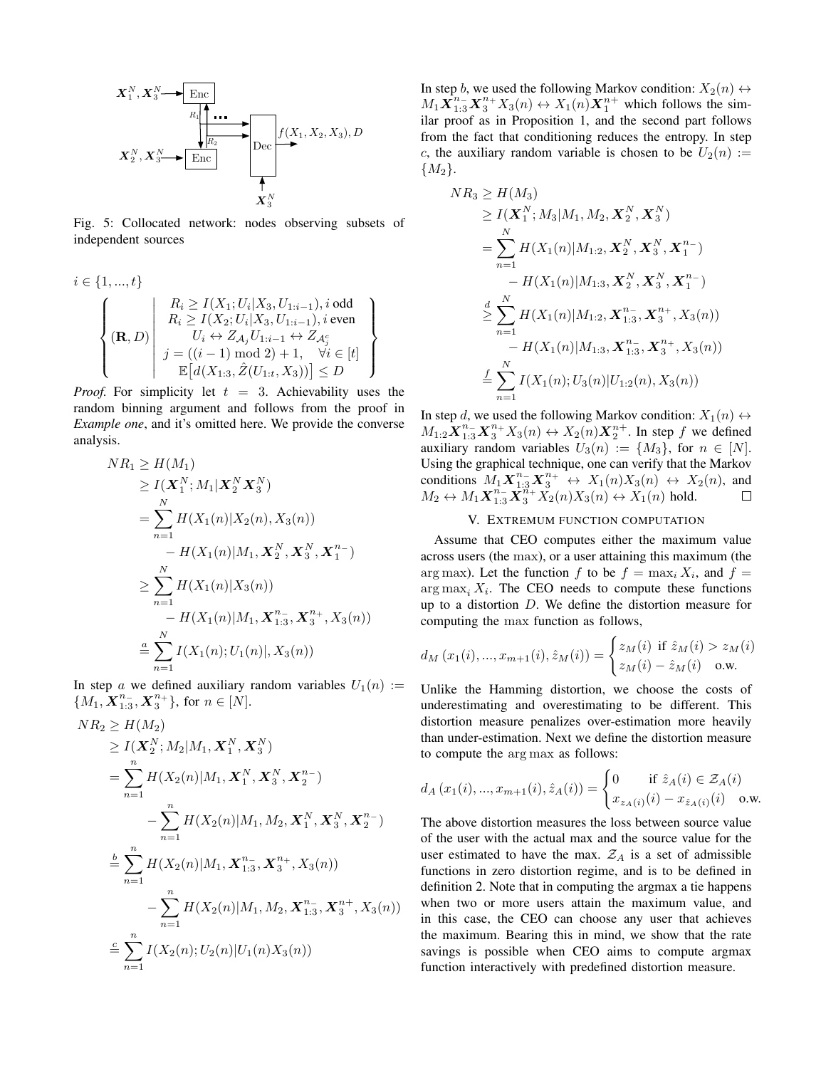

Fig. 5: Collocated network: nodes observing subsets of independent sources

$$
i \in \{1, ..., t\}
$$
  
\n
$$
\left\{ (\mathbf{R}, D) \middle| \begin{array}{c} R_i \ge I(X_1; U_i | X_3, U_{1:i-1}), i \text{ odd} \\ R_i \ge I(X_2; U_i | X_3, U_{1:i-1}), i \text{ even} \\ U_i \leftrightarrow Z_{\mathcal{A}_j} U_{1:i-1} \leftrightarrow Z_{\mathcal{A}_j^c} \\ j = ((i - 1) \mod 2) + 1, \quad \forall i \in [t] \\ \mathbb{E}\big[d(X_{1:3}, \hat{Z}(U_{1:t}, X_3))\big] \le D \end{array} \right\}
$$

*Proof.* For simplicity let  $t = 3$ . Achievability uses the random binning argument and follows from the proof in *Example one*, and it's omitted here. We provide the converse analysis.

$$
NR_1 \ge H(M_1)
$$
  
\n
$$
\ge I(\mathbf{X}_1^N; M_1 | \mathbf{X}_2^N \mathbf{X}_3^N)
$$
  
\n
$$
= \sum_{n=1}^N H(X_1(n) | X_2(n), X_3(n))
$$
  
\n
$$
- H(X_1(n) | M_1, \mathbf{X}_2^N, \mathbf{X}_3^N, \mathbf{X}_1^{n-})
$$
  
\n
$$
\ge \sum_{n=1}^N H(X_1(n) | X_3(n))
$$
  
\n
$$
- H(X_1(n) | M_1, \mathbf{X}_{1:3}^{n-}, \mathbf{X}_3^{n+}, X_3(n))
$$
  
\n
$$
\stackrel{a}{=} \sum_{n=1}^N I(X_1(n); U_1(n) | X_3(n))
$$

In step a we defined auxiliary random variables  $U_1(n) :=$  ${M_1, \mathbf{X}_{1:3}^{n_-}, \mathbf{X}_3^{n_+}}$ , for  $n \in [N]$ .

$$
NR_2 \ge H(M_2)
$$
  
\n
$$
\ge I(\mathbf{X}_2^N; M_2|M_1, \mathbf{X}_1^N, \mathbf{X}_3^N)
$$
  
\n
$$
= \sum_{n=1}^n H(X_2(n)|M_1, \mathbf{X}_1^N, \mathbf{X}_3^N, \mathbf{X}_2^{n-})
$$
  
\n
$$
- \sum_{n=1}^n H(X_2(n)|M_1, M_2, \mathbf{X}_1^N, \mathbf{X}_3^N, \mathbf{X}_2^{n-})
$$
  
\n
$$
\stackrel{b}{=} \sum_{n=1}^n H(X_2(n)|M_1, \mathbf{X}_{1:3}^{n-}, \mathbf{X}_3^{n+}, X_3(n))
$$
  
\n
$$
- \sum_{n=1}^n H(X_2(n)|M_1, M_2, \mathbf{X}_{1:3}^{n-}, \mathbf{X}_3^{n+}, X_3(n))
$$
  
\n
$$
\stackrel{c}{=} \sum_{n=1}^n I(X_2(n); U_2(n)|U_1(n)X_3(n))
$$

In step b, we used the following Markov condition:  $X_2(n) \leftrightarrow$  $M_1 \mathbf{X}_{1:3}^{n_-} \mathbf{X}_3^{n_+} X_3(n) \leftrightarrow X_1(n) \mathbf{X}_1^{n_+}$  which follows the similar proof as in Proposition 1, and the second part follows from the fact that conditioning reduces the entropy. In step c, the auxiliary random variable is chosen to be  $U_2(n) :=$  ${M_2}.$ 

$$
NR_3 \ge H(M_3)
$$
  
\n
$$
\ge I(\mathbf{X}_1^N; M_3|M_1, M_2, \mathbf{X}_2^N, \mathbf{X}_3^N)
$$
  
\n
$$
= \sum_{n=1}^N H(X_1(n)|M_{1:2}, \mathbf{X}_2^N, \mathbf{X}_3^N, \mathbf{X}_1^{n-})
$$
  
\n
$$
- H(X_1(n)|M_{1:3}, \mathbf{X}_2^N, \mathbf{X}_3^N, \mathbf{X}_1^{n-})
$$
  
\n
$$
\ge \sum_{n=1}^N H(X_1(n)|M_{1:2}, \mathbf{X}_{1:3}^{n-}, \mathbf{X}_3^{n+}, X_3(n))
$$
  
\n
$$
- H(X_1(n)|M_{1:3}, \mathbf{X}_{1:3}^{n-}, \mathbf{X}_3^{n+}, X_3(n))
$$
  
\n
$$
\le \sum_{n=1}^N I(X_1(n); U_3(n)|U_{1:2}(n), X_3(n))
$$

In step d, we used the following Markov condition:  $X_1(n) \leftrightarrow$  $M_{1:2}\widetilde{\mathbf{X}}_{1:3}^{n-1}\mathbf{X}_{3}^{n+}X_{3}(n) \leftrightarrow X_{2}(n)\mathbf{X}_{2}^{n+}$ . In step f we defined auxiliary random variables  $U_3(n) := \{M_3\}$ , for  $n \in [N]$ . Using the graphical technique, one can verify that the Markov conditions  $M_1 \mathbf{X}_{1:3}^{n-1} \mathbf{X}_3^{n+} \leftrightarrow X_1(n)X_3(n) \leftrightarrow X_2(n)$ , and  $M_2 \leftrightarrow M_1 \mathbf{X}_{1:3}^n \mathbf{X}_3^{m_+} \mathbf{X}_2(n) X_3(n) \leftrightarrow \mathbf{X}_1(n)$  hold.

# V. EXTREMUM FUNCTION COMPUTATION

Assume that CEO computes either the maximum value across users (the max), or a user attaining this maximum (the arg max). Let the function f to be  $f = \max_i X_i$ , and  $f =$  $\arg \max_i X_i$ . The CEO needs to compute these functions up to a distortion D. We define the distortion measure for computing the max function as follows,

$$
d_M(x_1(i),...,x_{m+1}(i),\hat{z}_M(i)) = \begin{cases} z_M(i) & \text{if } \hat{z}_M(i) > z_M(i) \\ z_M(i) - \hat{z}_M(i) & \text{o.w.} \end{cases}
$$

Unlike the Hamming distortion, we choose the costs of underestimating and overestimating to be different. This distortion measure penalizes over-estimation more heavily than under-estimation. Next we define the distortion measure to compute the arg max as follows:

$$
d_A(x_1(i),...,x_{m+1}(i),\hat{z}_A(i)) = \begin{cases} 0 & \text{if } \hat{z}_A(i) \in \mathcal{Z}_A(i) \\ x_{z_A(i)}(i) - x_{\hat{z}_A(i)}(i) & \text{o.w.} \end{cases}
$$

The above distortion measures the loss between source value of the user with the actual max and the source value for the user estimated to have the max.  $Z_A$  is a set of admissible functions in zero distortion regime, and is to be defined in definition 2. Note that in computing the argmax a tie happens when two or more users attain the maximum value, and in this case, the CEO can choose any user that achieves the maximum. Bearing this in mind, we show that the rate savings is possible when CEO aims to compute argmax function interactively with predefined distortion measure.